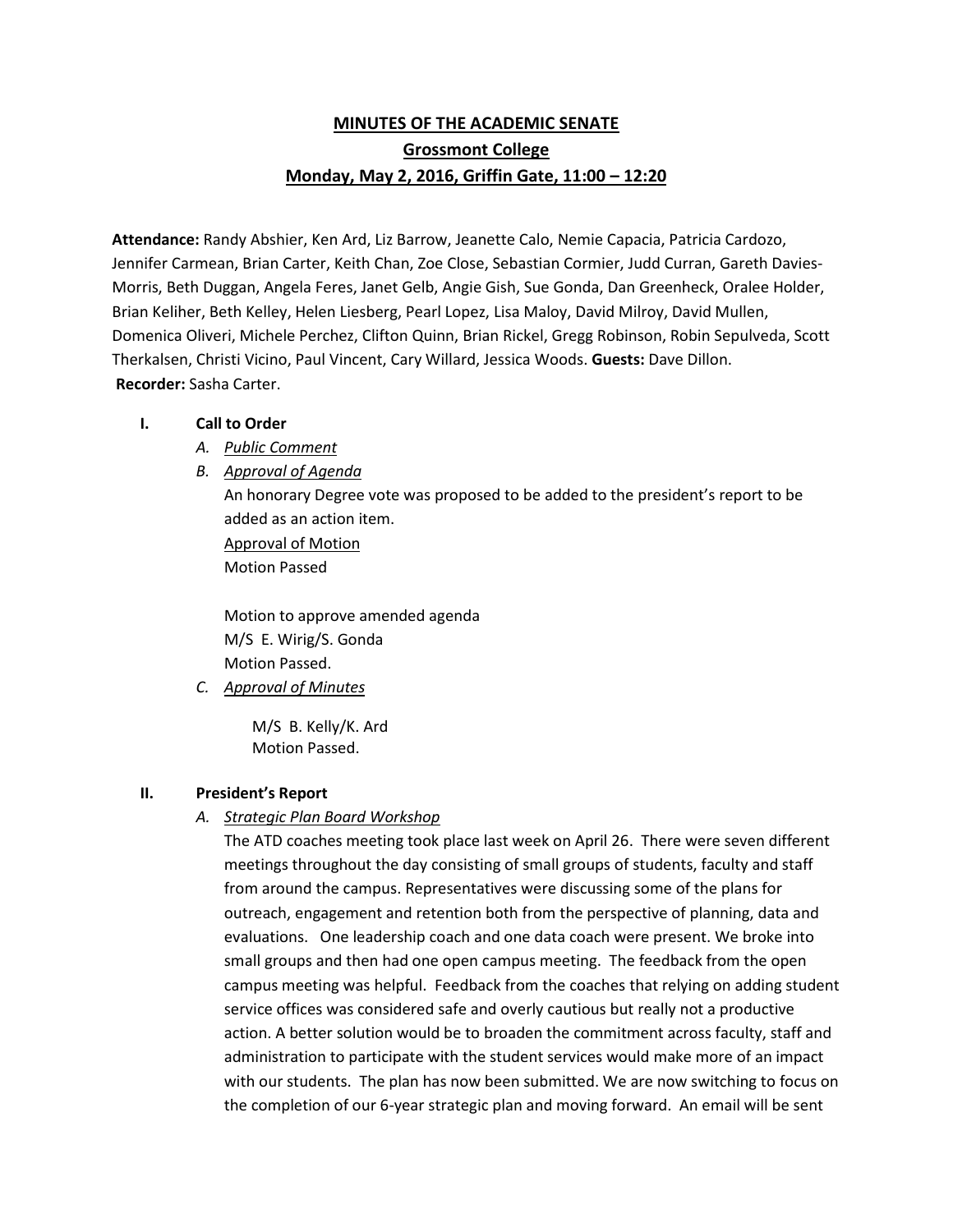# **MINUTES OF THE ACADEMIC SENATE Grossmont College Monday, May 2, 2016, Griffin Gate, 11:00 – 12:20**

**Attendance:** Randy Abshier, Ken Ard, Liz Barrow, Jeanette Calo, Nemie Capacia, Patricia Cardozo, Jennifer Carmean, Brian Carter, Keith Chan, Zoe Close, Sebastian Cormier, Judd Curran, Gareth Davies-Morris, Beth Duggan, Angela Feres, Janet Gelb, Angie Gish, Sue Gonda, Dan Greenheck, Oralee Holder, Brian Keliher, Beth Kelley, Helen Liesberg, Pearl Lopez, Lisa Maloy, David Milroy, David Mullen, Domenica Oliveri, Michele Perchez, Clifton Quinn, Brian Rickel, Gregg Robinson, Robin Sepulveda, Scott Therkalsen, Christi Vicino, Paul Vincent, Cary Willard, Jessica Woods. **Guests:** Dave Dillon. **Recorder:** Sasha Carter.

#### **I. Call to Order**

- *A. Public Comment*
- *B. Approval of Agenda*

An honorary Degree vote was proposed to be added to the president's report to be added as an action item. Approval of Motion Motion Passed

Motion to approve amended agenda M/S E. Wirig/S. Gonda Motion Passed.

*C. Approval of Minutes*

M/S B. Kelly/K. Ard Motion Passed.

### **II. President's Report**

*A. Strategic Plan Board Workshop*

The ATD coaches meeting took place last week on April 26. There were seven different meetings throughout the day consisting of small groups of students, faculty and staff from around the campus. Representatives were discussing some of the plans for outreach, engagement and retention both from the perspective of planning, data and evaluations. One leadership coach and one data coach were present. We broke into small groups and then had one open campus meeting. The feedback from the open campus meeting was helpful. Feedback from the coaches that relying on adding student service offices was considered safe and overly cautious but really not a productive action. A better solution would be to broaden the commitment across faculty, staff and administration to participate with the student services would make more of an impact with our students. The plan has now been submitted. We are now switching to focus on the completion of our 6-year strategic plan and moving forward. An email will be sent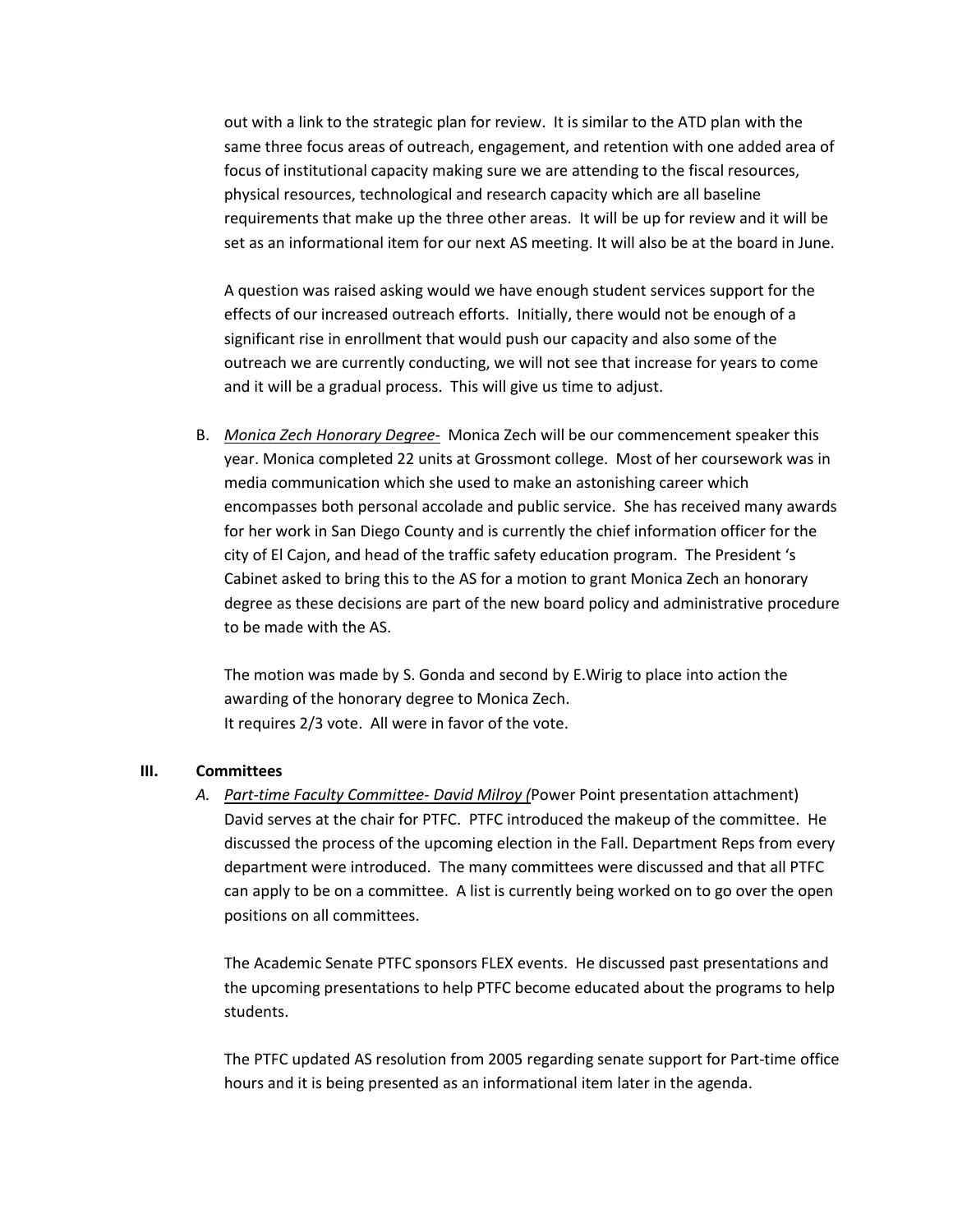out with a link to the strategic plan for review. It is similar to the ATD plan with the same three focus areas of outreach, engagement, and retention with one added area of focus of institutional capacity making sure we are attending to the fiscal resources, physical resources, technological and research capacity which are all baseline requirements that make up the three other areas. It will be up for review and it will be set as an informational item for our next AS meeting. It will also be at the board in June.

A question was raised asking would we have enough student services support for the effects of our increased outreach efforts. Initially, there would not be enough of a significant rise in enrollment that would push our capacity and also some of the outreach we are currently conducting, we will not see that increase for years to come and it will be a gradual process. This will give us time to adjust.

B. *Monica Zech Honorary Degree-* Monica Zech will be our commencement speaker this year. Monica completed 22 units at Grossmont college. Most of her coursework was in media communication which she used to make an astonishing career which encompasses both personal accolade and public service. She has received many awards for her work in San Diego County and is currently the chief information officer for the city of El Cajon, and head of the traffic safety education program. The President 's Cabinet asked to bring this to the AS for a motion to grant Monica Zech an honorary degree as these decisions are part of the new board policy and administrative procedure to be made with the AS.

The motion was made by S. Gonda and second by E.Wirig to place into action the awarding of the honorary degree to Monica Zech. It requires 2/3 vote. All were in favor of the vote.

#### **III. Committees**

*A. Part-time Faculty Committee- David Milroy (*Power Point presentation attachment) David serves at the chair for PTFC. PTFC introduced the makeup of the committee. He discussed the process of the upcoming election in the Fall. Department Reps from every department were introduced. The many committees were discussed and that all PTFC can apply to be on a committee. A list is currently being worked on to go over the open positions on all committees.

The Academic Senate PTFC sponsors FLEX events. He discussed past presentations and the upcoming presentations to help PTFC become educated about the programs to help students.

The PTFC updated AS resolution from 2005 regarding senate support for Part-time office hours and it is being presented as an informational item later in the agenda.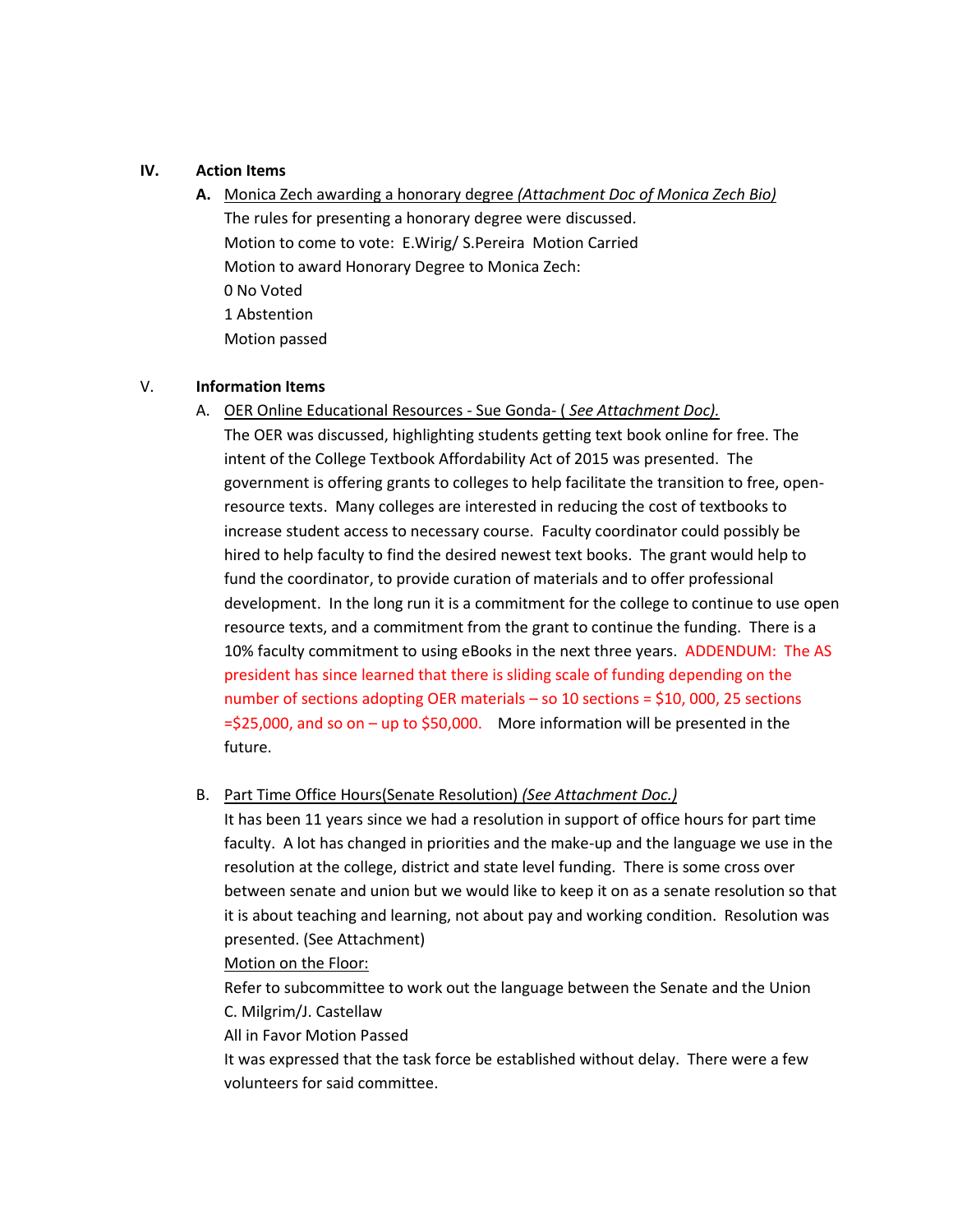### **IV. Action Items**

**A.** Monica Zech awarding a honorary degree *(Attachment Doc of Monica Zech Bio)* The rules for presenting a honorary degree were discussed. Motion to come to vote: E.Wirig/ S.Pereira Motion Carried Motion to award Honorary Degree to Monica Zech: 0 No Voted 1 Abstention Motion passed

### V. **Information Items**

A. OER Online Educational Resources - Sue Gonda- ( *See Attachment Doc).*

The OER was discussed, highlighting students getting text book online for free. The intent of the College Textbook Affordability Act of 2015 was presented. The government is offering grants to colleges to help facilitate the transition to free, openresource texts. Many colleges are interested in reducing the cost of textbooks to increase student access to necessary course. Faculty coordinator could possibly be hired to help faculty to find the desired newest text books. The grant would help to fund the coordinator, to provide curation of materials and to offer professional development. In the long run it is a commitment for the college to continue to use open resource texts, and a commitment from the grant to continue the funding. There is a 10% faculty commitment to using eBooks in the next three years. ADDENDUM: The AS president has since learned that there is sliding scale of funding depending on the number of sections adopting OER materials – so 10 sections = \$10, 000, 25 sections  $=$ \$25,000, and so on – up to \$50,000. More information will be presented in the future.

B. Part Time Office Hours(Senate Resolution) *(See Attachment Doc.)*

It has been 11 years since we had a resolution in support of office hours for part time faculty. A lot has changed in priorities and the make-up and the language we use in the resolution at the college, district and state level funding. There is some cross over between senate and union but we would like to keep it on as a senate resolution so that it is about teaching and learning, not about pay and working condition. Resolution was presented. (See Attachment)

Motion on the Floor:

Refer to subcommittee to work out the language between the Senate and the Union C. Milgrim/J. Castellaw

All in Favor Motion Passed

It was expressed that the task force be established without delay. There were a few volunteers for said committee.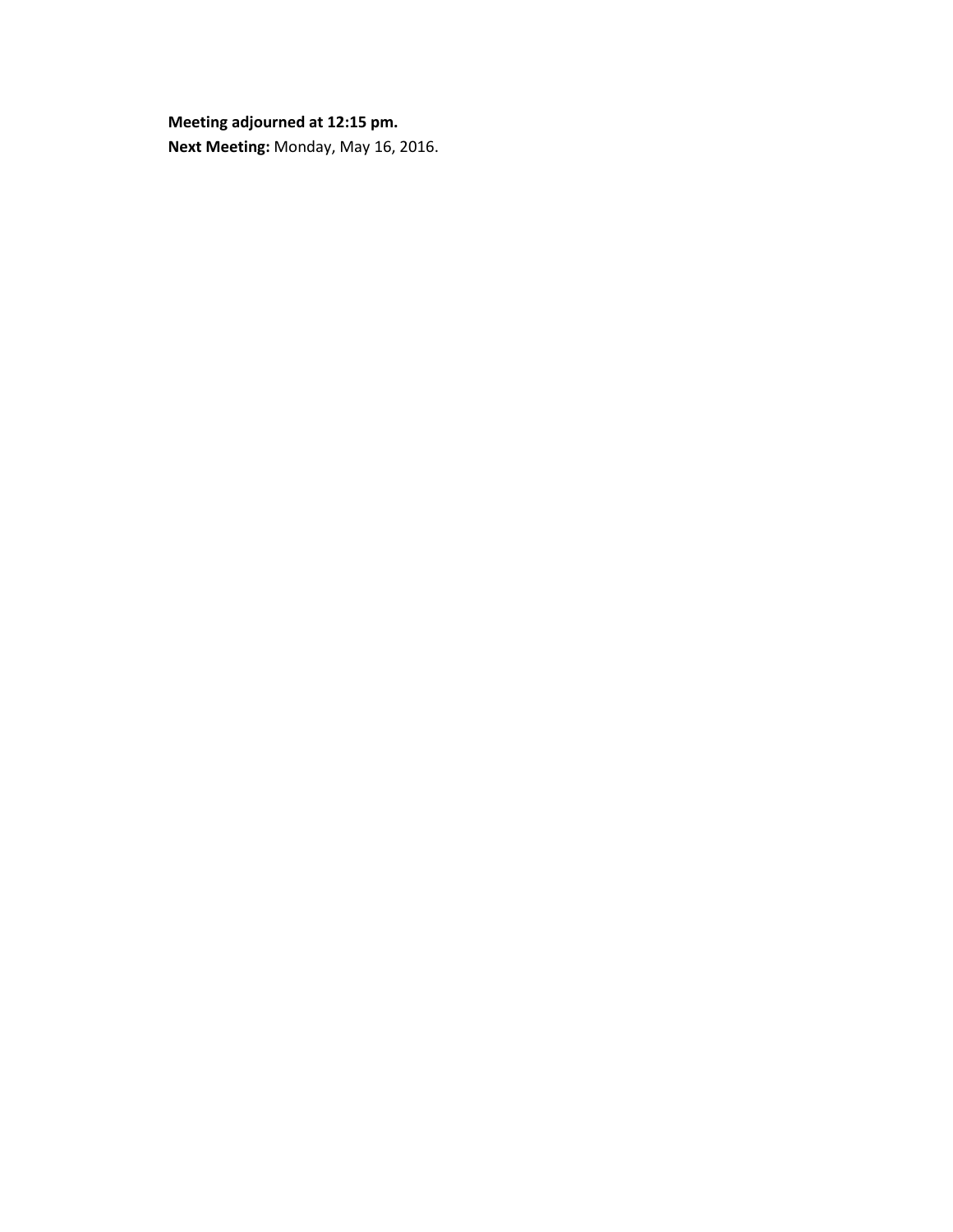**Meeting adjourned at 12:15 pm. Next Meeting:** Monday, May 16, 2016.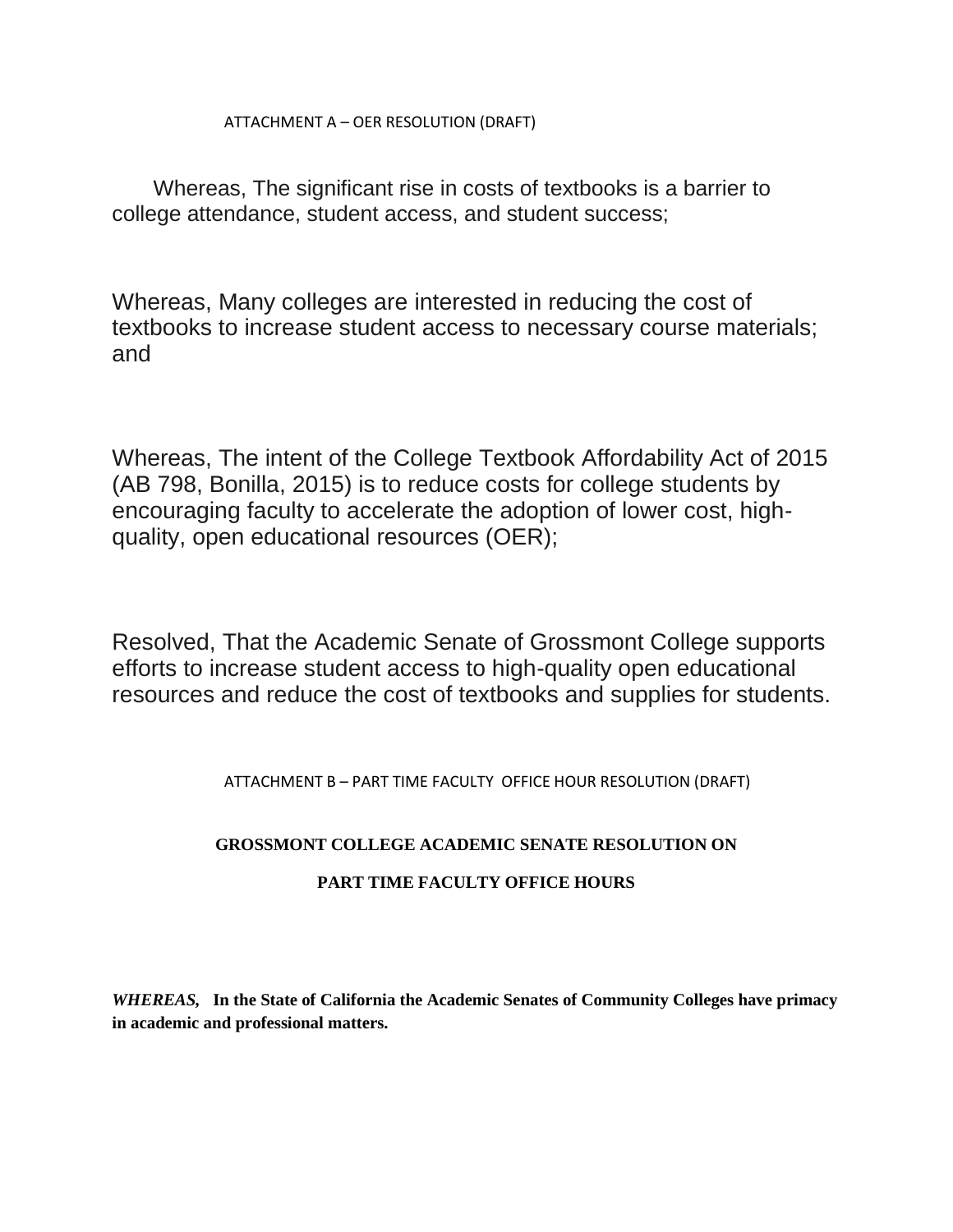ATTACHMENT A – OER RESOLUTION (DRAFT)

Whereas, The significant rise in costs of textbooks is a barrier to college attendance, student access, and student success;

Whereas, Many colleges are interested in reducing the cost of textbooks to increase student access to necessary course materials; and

Whereas, The intent of the College Textbook Affordability Act of 2015 (AB 798, Bonilla, 2015) is to reduce costs for college students by encouraging faculty to accelerate the adoption of lower cost, highquality, open educational resources (OER);

Resolved, That the Academic Senate of Grossmont College supports efforts to increase student access to high-quality open educational resources and reduce the cost of textbooks and supplies for students.

ATTACHMENT B – PART TIME FACULTY OFFICE HOUR RESOLUTION (DRAFT)

# **GROSSMONT COLLEGE ACADEMIC SENATE RESOLUTION ON**

# **PART TIME FACULTY OFFICE HOURS**

*WHEREAS,* **In the State of California the Academic Senates of Community Colleges have primacy in academic and professional matters.**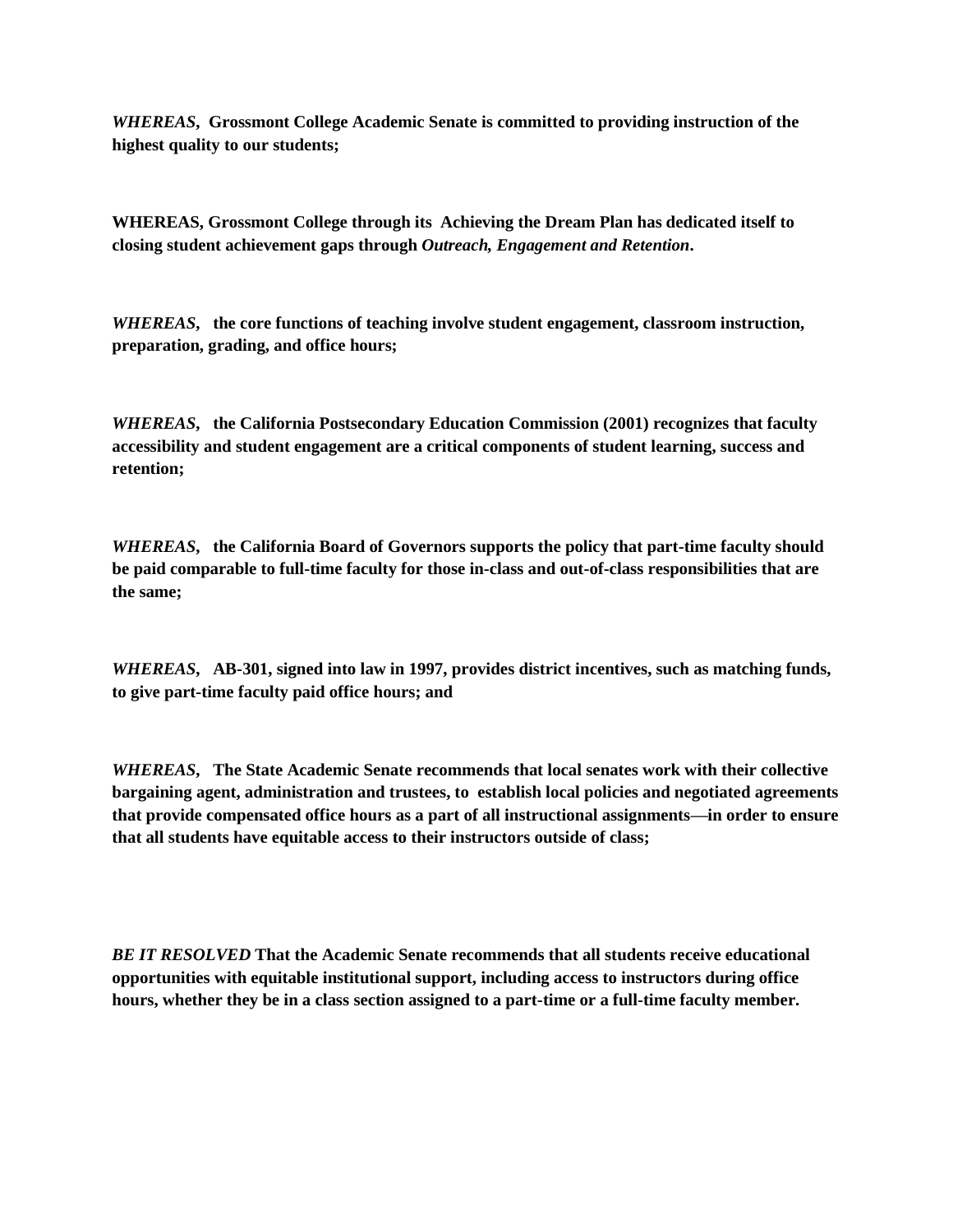*WHEREAS***, Grossmont College Academic Senate is committed to providing instruction of the highest quality to our students;**

**WHEREAS, Grossmont College through its Achieving the Dream Plan has dedicated itself to closing student achievement gaps through** *Outreach, Engagement and Retention***.**

*WHEREAS***, the core functions of teaching involve student engagement, classroom instruction, preparation, grading, and office hours;**

*WHEREAS***, the California Postsecondary Education Commission (2001) recognizes that faculty accessibility and student engagement are a critical components of student learning, success and retention;**

*WHEREAS***, the California Board of Governors supports the policy that part-time faculty should be paid comparable to full-time faculty for those in-class and out-of-class responsibilities that are the same;**

*WHEREAS***, AB-301, signed into law in 1997, provides district incentives, such as matching funds, to give part-time faculty paid office hours; and**

*WHEREAS***, The State Academic Senate recommends that local senates work with their collective bargaining agent, administration and trustees, to establish local policies and negotiated agreements that provide compensated office hours as a part of all instructional assignments—in order to ensure that all students have equitable access to their instructors outside of class;**

*BE IT RESOLVED* **That the Academic Senate recommends that all students receive educational opportunities with equitable institutional support, including access to instructors during office**  hours, whether they be in a class section assigned to a part-time or a full-time faculty member.